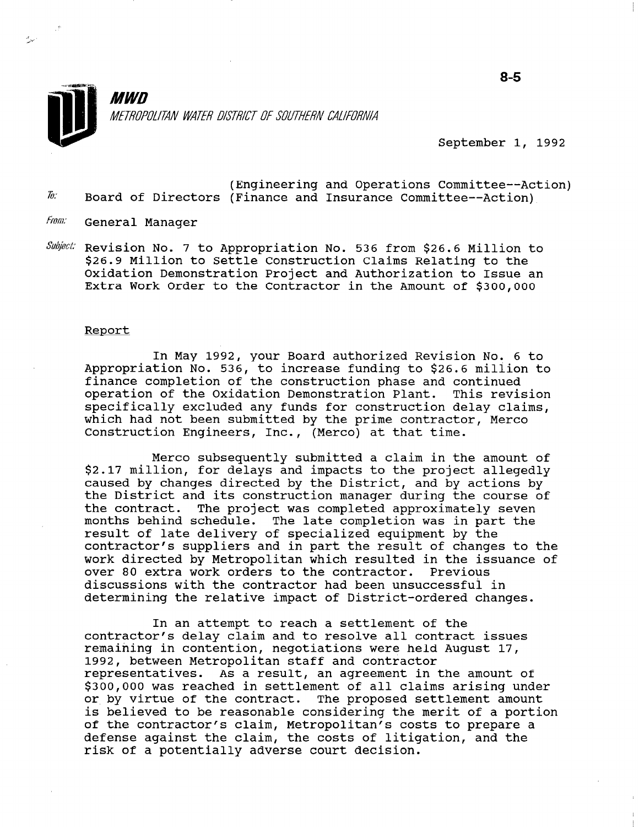

September 1, 1992

- $\hbar$ (Engineering and Operations Committee--Action) Board of Directors (Finance and Insurance Committee--Action)
- From: General Manager
- Subject: Revision No. 7 to Appropriation No. 536 from \$26.6 Million to \$26.9 Million to Settle Construction Claims Relating to the Oxidation Demonstration Project and Authorization to Issue an Extra Work Order to the Contractor in the Amount of \$300,000

#### Report

In May 1992, your Board authorized Revision No. 6 to Appropriation No. 536, to increase funding to \$26.6 million to finance completion of the construction phase and continued operation of the Oxidation Demonstration Plant. This revision specifically excluded any funds for construction delay claims, which had not been submitted by the prime contractor, Merco Construction Engineers, Inc., (Merco) at that time.

Merco subsequently submitted a claim in the amount of \$2.17 million, for delays and impacts to the project allegedly caused by changes directed by the District, and by actions by the District and its construction manager during the course of the contract. The project was completed approximately seven months behind schedule. The late completion was in part the result of late delivery of specialized equipment by the resure of face actively of specialized equipment by the<br>contractor's suppliers and in part the result of changes to the concructor s suppriers and in part the result of changes to the<br>work directed by Metropolitan which resulted in the issuance of work directed by Metropolitan which resulted in the issuance of over 80 extra work orders to the contractor. Previous discussions with the contractor had been unsuccessfui in determining the relative impact of District-ordered changes.

In an attempt to reach a settlement of the III an accempt to reach a seccrement of the remaining in contention, negotiations were held August 17, remaining in contention, negotiations were held August 17,<br>1992, between Metropolitan staff and contractor representatives. As a result, an agreement in the amount of \$300,000 was reached in settlement of all claims arising under or by virtue of the contract. The proposed settlement amount or by virtue of the contract. The proposed settlement amount is believed to be reasonable considering the merit of a portion of the contractor's claim, Metropolitan's costs to prepare a defense against the claim, the costs of litigation, and the risk of a potentially adverse court decision.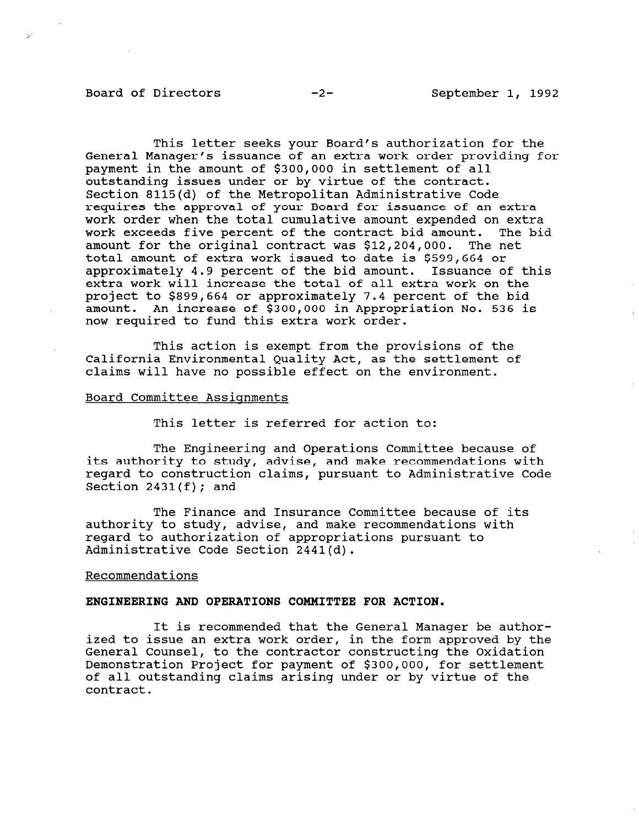## Board of Directors -2- September 1, 1992

This letter seeks your Board's authorization for the General Manager's issuance of an extra work order providing for payment in the amount of \$300,000 in settlement of all outstanding issues under or by virtue of the contract. Section 8115(d) of the Metropolitan Administrative Code requires the approval of your Board for issuance of an extra work order when the total cumulative amount expended on extra work exceeds five percent of the contract bid amount. The bid amount for the original contract was \$12,204,000. The net total amount of extra work issued to date is \$599,664 or approximately 4.9 percent of the bid amount. Issuance of this extra work will increase the total of all extra work on the project to \$899,664 or approximately 7.4 percent of the bid amount. An increase of \$300,000 in Appropriation No. 536 is now required to fund this extra work order.

This action is exempt from the provisions of the California Environmental Quality Act, as the settlement of claims will have no possible effect on the environment.

#### Board Committee Assignments

This letter is referred for action to:

The Engineering and Operations Committee because of its authority to study, advise, and make recommendations with regard to construction claims, pursuant to Administrative Code Section  $2431(f)$ ; and

The Finance and Insurance Committee because of its authority to study, advise, and make recommendations with regard to authorization of appropriations pursuant to Administrative Code Section 2441(d).

### Recommendations

### ENGINEERING AND OPERATIONS COMMITTEE FOR ACTION.

It is recommended that the General Manager be authorized to issue an extra work order, in the form approved by the IZED TO ISSUE AN EXTER WORK ORDER, IN THE TOIM APPROVED BY General Counsel, to the contractor constructing the Oxidation Demonstration Project for payment of \$300,000, for settlement of all outstanding claims arising under or by virtue of the contract.